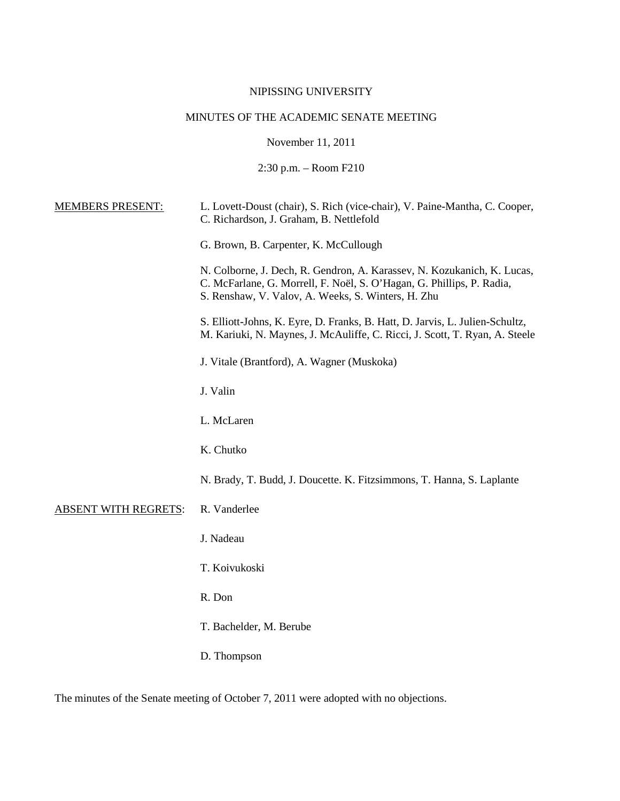# NIPISSING UNIVERSITY

# MINUTES OF THE ACADEMIC SENATE MEETING

November 11, 2011

2:30 p.m. – Room F210

| <b>MEMBERS PRESENT:</b>     | L. Lovett-Doust (chair), S. Rich (vice-chair), V. Paine-Mantha, C. Cooper,<br>C. Richardson, J. Graham, B. Nettlefold                                                                                  |
|-----------------------------|--------------------------------------------------------------------------------------------------------------------------------------------------------------------------------------------------------|
|                             | G. Brown, B. Carpenter, K. McCullough                                                                                                                                                                  |
|                             | N. Colborne, J. Dech, R. Gendron, A. Karassev, N. Kozukanich, K. Lucas,<br>C. McFarlane, G. Morrell, F. Noël, S. O'Hagan, G. Phillips, P. Radia,<br>S. Renshaw, V. Valov, A. Weeks, S. Winters, H. Zhu |
|                             | S. Elliott-Johns, K. Eyre, D. Franks, B. Hatt, D. Jarvis, L. Julien-Schultz,<br>M. Kariuki, N. Maynes, J. McAuliffe, C. Ricci, J. Scott, T. Ryan, A. Steele                                            |
|                             | J. Vitale (Brantford), A. Wagner (Muskoka)                                                                                                                                                             |
|                             | J. Valin                                                                                                                                                                                               |
|                             | L. McLaren                                                                                                                                                                                             |
|                             | K. Chutko                                                                                                                                                                                              |
|                             | N. Brady, T. Budd, J. Doucette. K. Fitzsimmons, T. Hanna, S. Laplante                                                                                                                                  |
| <b>ABSENT WITH REGRETS:</b> | R. Vanderlee                                                                                                                                                                                           |
|                             | J. Nadeau                                                                                                                                                                                              |
|                             | T. Koivukoski                                                                                                                                                                                          |
|                             | R. Don                                                                                                                                                                                                 |
|                             | T. Bachelder, M. Berube                                                                                                                                                                                |
|                             | D. Thompson                                                                                                                                                                                            |
|                             |                                                                                                                                                                                                        |

The minutes of the Senate meeting of October 7, 2011 were adopted with no objections.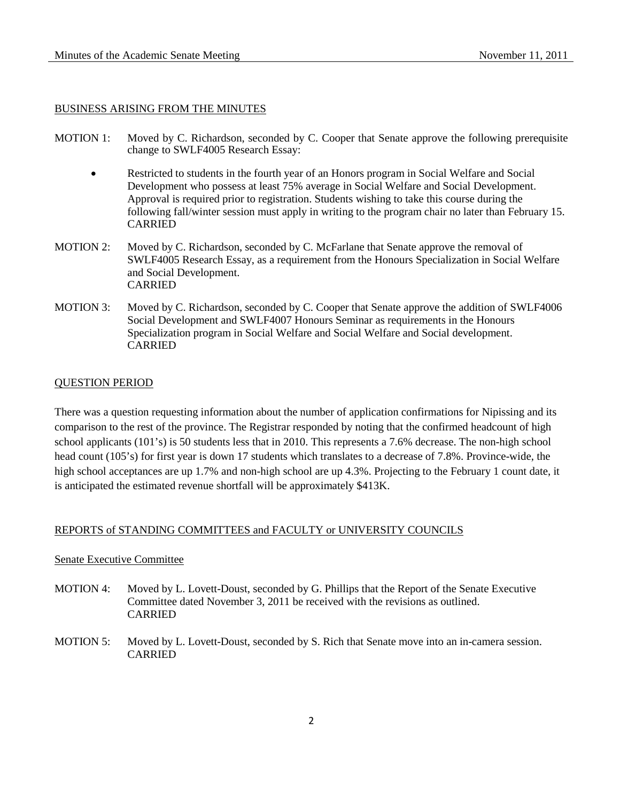#### BUSINESS ARISING FROM THE MINUTES

- MOTION 1: Moved by C. Richardson, seconded by C. Cooper that Senate approve the following prerequisite change to SWLF4005 Research Essay:
	- Restricted to students in the fourth year of an Honors program in Social Welfare and Social Development who possess at least 75% average in Social Welfare and Social Development. Approval is required prior to registration. Students wishing to take this course during the following fall/winter session must apply in writing to the program chair no later than February 15. CARRIED
- MOTION 2: Moved by C. Richardson, seconded by C. McFarlane that Senate approve the removal of SWLF4005 Research Essay, as a requirement from the Honours Specialization in Social Welfare and Social Development. CARRIED
- MOTION 3: Moved by C. Richardson, seconded by C. Cooper that Senate approve the addition of SWLF4006 Social Development and SWLF4007 Honours Seminar as requirements in the Honours Specialization program in Social Welfare and Social Welfare and Social development. CARRIED

# QUESTION PERIOD

There was a question requesting information about the number of application confirmations for Nipissing and its comparison to the rest of the province. The Registrar responded by noting that the confirmed headcount of high school applicants (101's) is 50 students less that in 2010. This represents a 7.6% decrease. The non-high school head count (105's) for first year is down 17 students which translates to a decrease of 7.8%. Province-wide, the high school acceptances are up 1.7% and non-high school are up 4.3%. Projecting to the February 1 count date, it is anticipated the estimated revenue shortfall will be approximately \$413K.

# REPORTS of STANDING COMMITTEES and FACULTY or UNIVERSITY COUNCILS

#### Senate Executive Committee

- MOTION 4: Moved by L. Lovett-Doust, seconded by G. Phillips that the Report of the Senate Executive Committee dated November 3, 2011 be received with the revisions as outlined. CARRIED
- MOTION 5: Moved by L. Lovett-Doust, seconded by S. Rich that Senate move into an in-camera session. CARRIED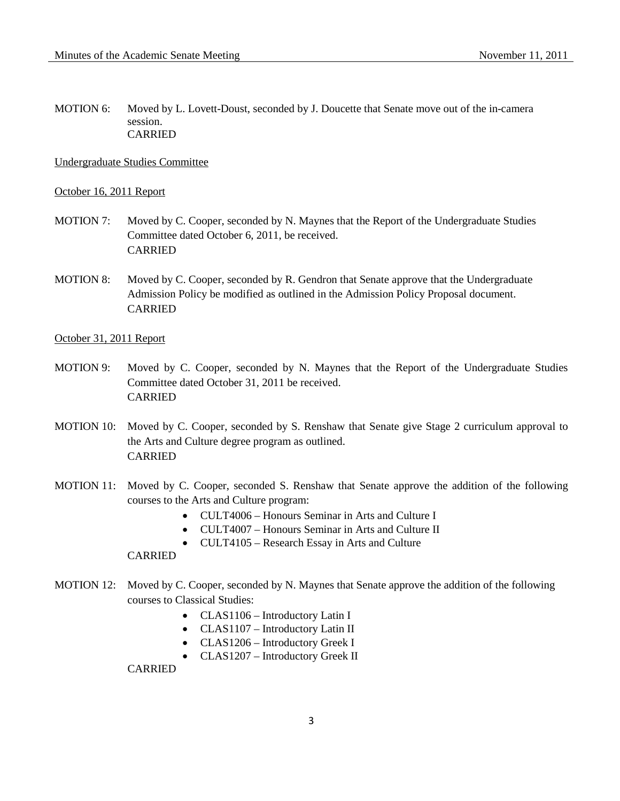MOTION 6: Moved by L. Lovett-Doust, seconded by J. Doucette that Senate move out of the in-camera session. CARRIED

Undergraduate Studies Committee

#### October 16, 2011 Report

- MOTION 7: Moved by C. Cooper, seconded by N. Maynes that the Report of the Undergraduate Studies Committee dated October 6, 2011, be received. CARRIED
- MOTION 8: Moved by C. Cooper, seconded by R. Gendron that Senate approve that the Undergraduate Admission Policy be modified as outlined in the Admission Policy Proposal document. CARRIED
- October 31, 2011 Report
- MOTION 9: Moved by C. Cooper, seconded by N. Maynes that the Report of the Undergraduate Studies Committee dated October 31, 2011 be received. CARRIED
- MOTION 10: Moved by C. Cooper, seconded by S. Renshaw that Senate give Stage 2 curriculum approval to the Arts and Culture degree program as outlined. CARRIED
- MOTION 11: Moved by C. Cooper, seconded S. Renshaw that Senate approve the addition of the following courses to the Arts and Culture program:
	- CULT4006 Honours Seminar in Arts and Culture I
	- CULT4007 Honours Seminar in Arts and Culture II
	- CULT4105 Research Essay in Arts and Culture

## CARRIED

- MOTION 12: Moved by C. Cooper, seconded by N. Maynes that Senate approve the addition of the following courses to Classical Studies:
	- CLAS1106 Introductory Latin I
	- CLAS1107 Introductory Latin II
	- CLAS1206 Introductory Greek I
	- CLAS1207 Introductory Greek II

CARRIED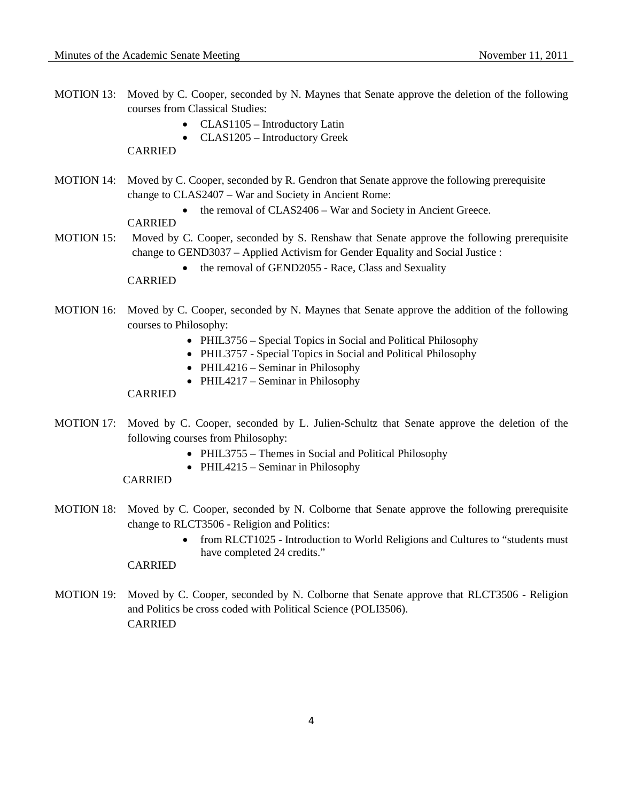- MOTION 13: Moved by C. Cooper, seconded by N. Maynes that Senate approve the deletion of the following courses from Classical Studies:
	- CLAS1105 Introductory Latin
	- CLAS1205 Introductory Greek

# CARRIED

- MOTION 14: Moved by C. Cooper, seconded by R. Gendron that Senate approve the following prerequisite change to CLAS2407 – War and Society in Ancient Rome:
	- the removal of CLAS2406 War and Society in Ancient Greece.

# CARRIED

- MOTION 15: Moved by C. Cooper, seconded by S. Renshaw that Senate approve the following prerequisite change to GEND3037 – Applied Activism for Gender Equality and Social Justice :
	- the removal of GEND2055 Race, Class and Sexuality

# CARRIED

- MOTION 16: Moved by C. Cooper, seconded by N. Maynes that Senate approve the addition of the following courses to Philosophy:
	- PHIL3756 Special Topics in Social and Political Philosophy
	- PHIL3757 Special Topics in Social and Political Philosophy
	- PHIL4216 Seminar in Philosophy
	- PHIL4217 Seminar in Philosophy

# CARRIED

- MOTION 17: Moved by C. Cooper, seconded by L. Julien-Schultz that Senate approve the deletion of the following courses from Philosophy:
	- PHIL3755 Themes in Social and Political Philosophy
	- PHIL4215 Seminar in Philosophy

#### CARRIED

- MOTION 18: Moved by C. Cooper, seconded by N. Colborne that Senate approve the following prerequisite change to RLCT3506 - Religion and Politics:
	- from RLCT1025 Introduction to World Religions and Cultures to "students must have completed 24 credits."

### CARRIED

MOTION 19: Moved by C. Cooper, seconded by N. Colborne that Senate approve that RLCT3506 - Religion and Politics be cross coded with Political Science (POLI3506). CARRIED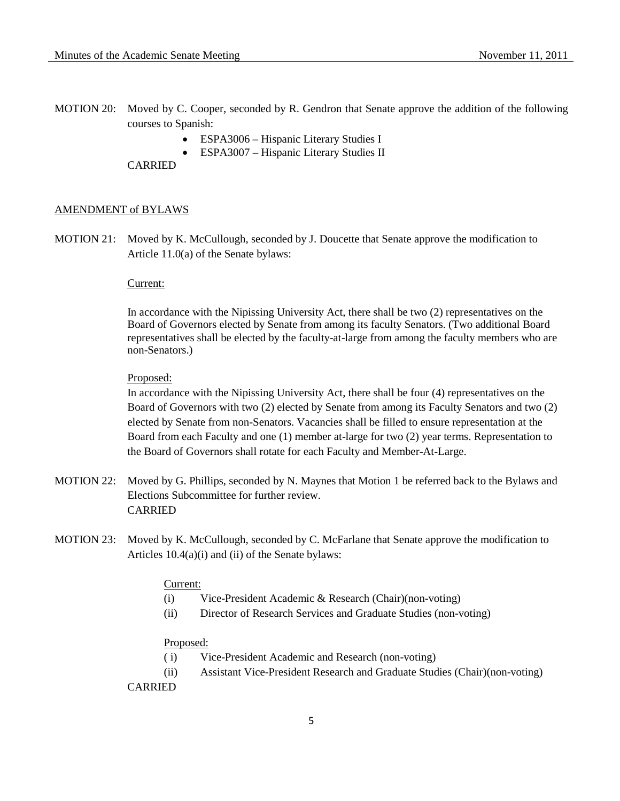- MOTION 20: Moved by C. Cooper, seconded by R. Gendron that Senate approve the addition of the following courses to Spanish:
	- ESPA3006 Hispanic Literary Studies I
	- ESPA3007 Hispanic Literary Studies II

CARRIED

### AMENDMENT of BYLAWS

MOTION 21: Moved by K. McCullough, seconded by J. Doucette that Senate approve the modification to Article 11.0(a) of the Senate bylaws:

#### Current:

In accordance with the Nipissing University Act, there shall be two (2) representatives on the Board of Governors elected by Senate from among its faculty Senators. (Two additional Board representatives shall be elected by the faculty-at-large from among the faculty members who are non-Senators.)

# Proposed:

In accordance with the Nipissing University Act, there shall be four (4) representatives on the Board of Governors with two (2) elected by Senate from among its Faculty Senators and two (2) elected by Senate from non-Senators. Vacancies shall be filled to ensure representation at the Board from each Faculty and one (1) member at-large for two (2) year terms. Representation to the Board of Governors shall rotate for each Faculty and Member-At-Large.

- MOTION 22: Moved by G. Phillips, seconded by N. Maynes that Motion 1 be referred back to the Bylaws and Elections Subcommittee for further review. CARRIED
- MOTION 23: Moved by K. McCullough, seconded by C. McFarlane that Senate approve the modification to Articles 10.4(a)(i) and (ii) of the Senate bylaws:

### Current:

- (i) Vice-President Academic & Research (Chair)(non-voting)
- (ii) Director of Research Services and Graduate Studies (non-voting)

#### Proposed:

- ( i) Vice-President Academic and Research (non-voting)
- (ii) Assistant Vice-President Research and Graduate Studies (Chair)(non-voting)

#### CARRIED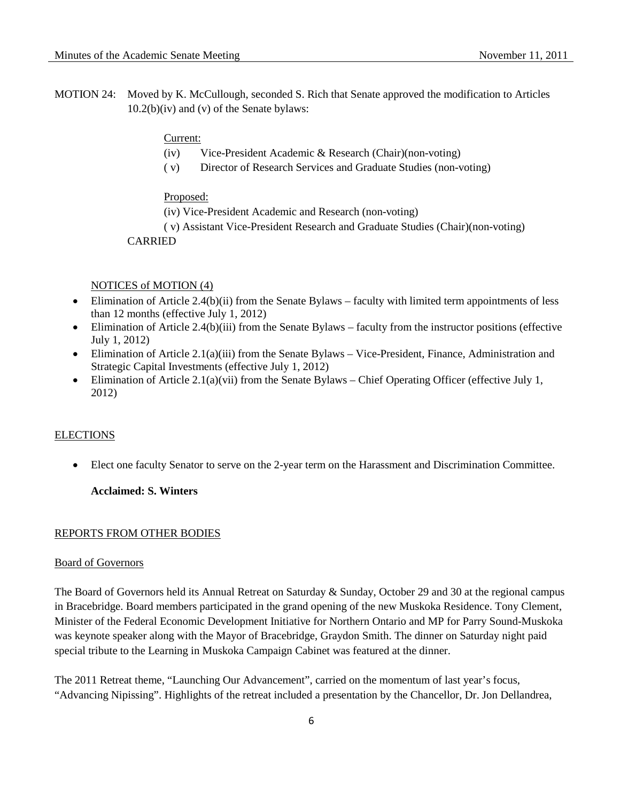MOTION 24: Moved by K. McCullough, seconded S. Rich that Senate approved the modification to Articles 10.2(b)(iv) and (v) of the Senate bylaws:

#### Current:

- (iv) Vice-President Academic & Research (Chair)(non-voting)
- ( v) Director of Research Services and Graduate Studies (non-voting)

#### Proposed:

(iv) Vice-President Academic and Research (non-voting)

( v) Assistant Vice-President Research and Graduate Studies (Chair)(non-voting)

# CARRIED

### NOTICES of MOTION (4)

- Elimination of Article 2.4(b)(ii) from the Senate Bylaws faculty with limited term appointments of less than 12 months (effective July 1, 2012)
- Elimination of Article 2.4(b)(iii) from the Senate Bylaws faculty from the instructor positions (effective July 1, 2012)
- Elimination of Article 2.1(a)(iii) from the Senate Bylaws Vice-President, Finance, Administration and Strategic Capital Investments (effective July 1, 2012)
- Elimination of Article 2.1(a)(vii) from the Senate Bylaws Chief Operating Officer (effective July 1, 2012)

## **ELECTIONS**

• Elect one faculty Senator to serve on the 2-year term on the Harassment and Discrimination Committee.

# **Acclaimed: S. Winters**

### REPORTS FROM OTHER BODIES

# Board of Governors

The Board of Governors held its Annual Retreat on Saturday & Sunday, October 29 and 30 at the regional campus in Bracebridge. Board members participated in the grand opening of the new Muskoka Residence. Tony Clement, Minister of the Federal Economic Development Initiative for Northern Ontario and MP for Parry Sound-Muskoka was keynote speaker along with the Mayor of Bracebridge, Graydon Smith. The dinner on Saturday night paid special tribute to the Learning in Muskoka Campaign Cabinet was featured at the dinner.

The 2011 Retreat theme, "Launching Our Advancement", carried on the momentum of last year's focus, "Advancing Nipissing". Highlights of the retreat included a presentation by the Chancellor, Dr. Jon Dellandrea,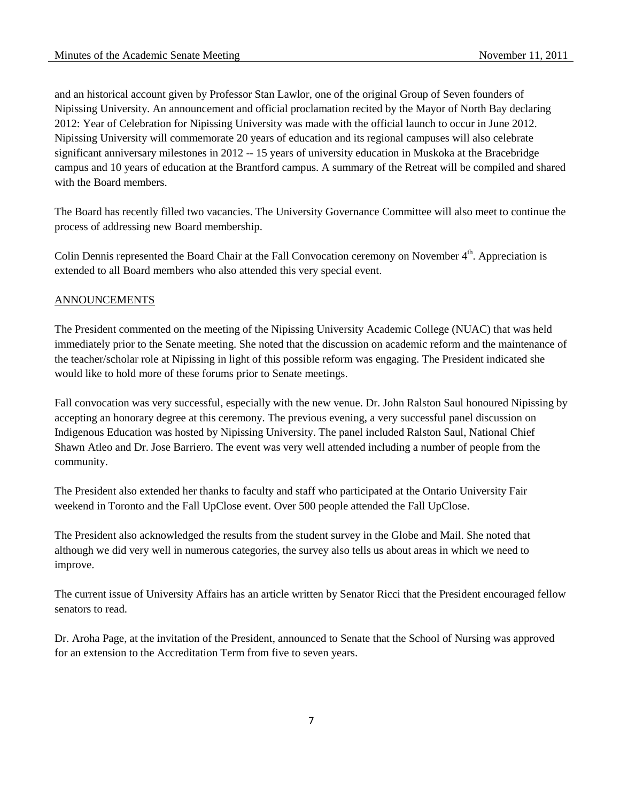and an historical account given by Professor Stan Lawlor, one of the original Group of Seven founders of Nipissing University. An announcement and official proclamation recited by the Mayor of North Bay declaring 2012: Year of Celebration for Nipissing University was made with the official launch to occur in June 2012. Nipissing University will commemorate 20 years of education and its regional campuses will also celebrate significant anniversary milestones in 2012 -- 15 years of university education in Muskoka at the Bracebridge campus and 10 years of education at the Brantford campus. A summary of the Retreat will be compiled and shared with the Board members.

The Board has recently filled two vacancies. The University Governance Committee will also meet to continue the process of addressing new Board membership.

Colin Dennis represented the Board Chair at the Fall Convocation ceremony on November 4<sup>th</sup>. Appreciation is extended to all Board members who also attended this very special event.

## ANNOUNCEMENTS

The President commented on the meeting of the Nipissing University Academic College (NUAC) that was held immediately prior to the Senate meeting. She noted that the discussion on academic reform and the maintenance of the teacher/scholar role at Nipissing in light of this possible reform was engaging. The President indicated she would like to hold more of these forums prior to Senate meetings.

Fall convocation was very successful, especially with the new venue. Dr. John Ralston Saul honoured Nipissing by accepting an honorary degree at this ceremony. The previous evening, a very successful panel discussion on Indigenous Education was hosted by Nipissing University. The panel included Ralston Saul, National Chief Shawn Atleo and Dr. Jose Barriero. The event was very well attended including a number of people from the community.

The President also extended her thanks to faculty and staff who participated at the Ontario University Fair weekend in Toronto and the Fall UpClose event. Over 500 people attended the Fall UpClose.

The President also acknowledged the results from the student survey in the Globe and Mail. She noted that although we did very well in numerous categories, the survey also tells us about areas in which we need to improve.

The current issue of University Affairs has an article written by Senator Ricci that the President encouraged fellow senators to read.

Dr. Aroha Page, at the invitation of the President, announced to Senate that the School of Nursing was approved for an extension to the Accreditation Term from five to seven years.